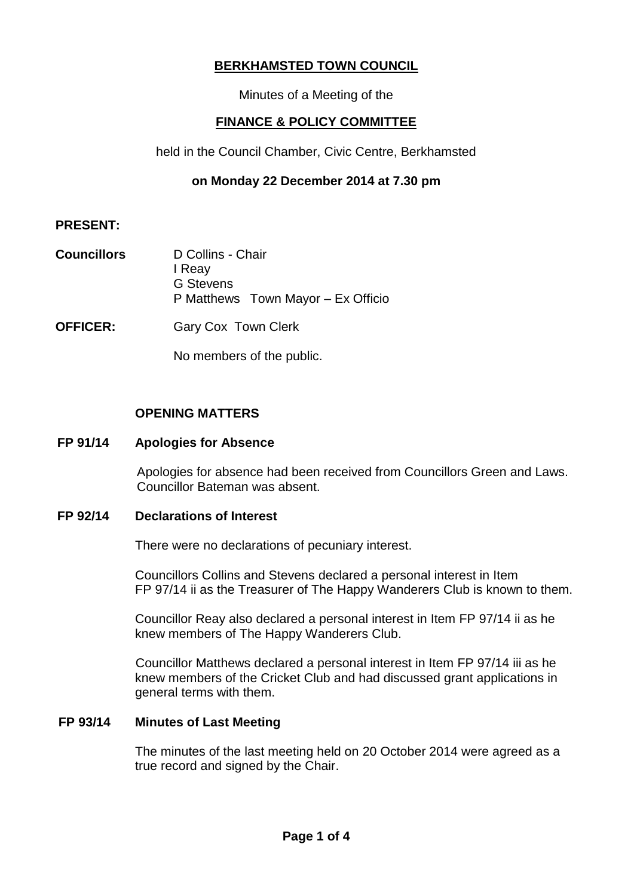# **BERKHAMSTED TOWN COUNCIL**

Minutes of a Meeting of the

# **FINANCE & POLICY COMMITTEE**

held in the Council Chamber, Civic Centre, Berkhamsted

# **on Monday 22 December 2014 at 7.30 pm**

## **PRESENT:**

- **Councillors** D Collins Chair I Reay G Stevens P Matthews Town Mayor – Ex Officio
- **OFFICER:** Gary Cox Town Clerk

No members of the public.

## **OPENING MATTERS**

## **FP 91/14 Apologies for Absence**

Apologies for absence had been received from Councillors Green and Laws. Councillor Bateman was absent.

## **FP 92/14 Declarations of Interest**

There were no declarations of pecuniary interest.

Councillors Collins and Stevens declared a personal interest in Item FP 97/14 ii as the Treasurer of The Happy Wanderers Club is known to them.

Councillor Reay also declared a personal interest in Item FP 97/14 ii as he knew members of The Happy Wanderers Club.

Councillor Matthews declared a personal interest in Item FP 97/14 iii as he knew members of the Cricket Club and had discussed grant applications in general terms with them.

## **FP 93/14 Minutes of Last Meeting**

The minutes of the last meeting held on 20 October 2014 were agreed as a true record and signed by the Chair.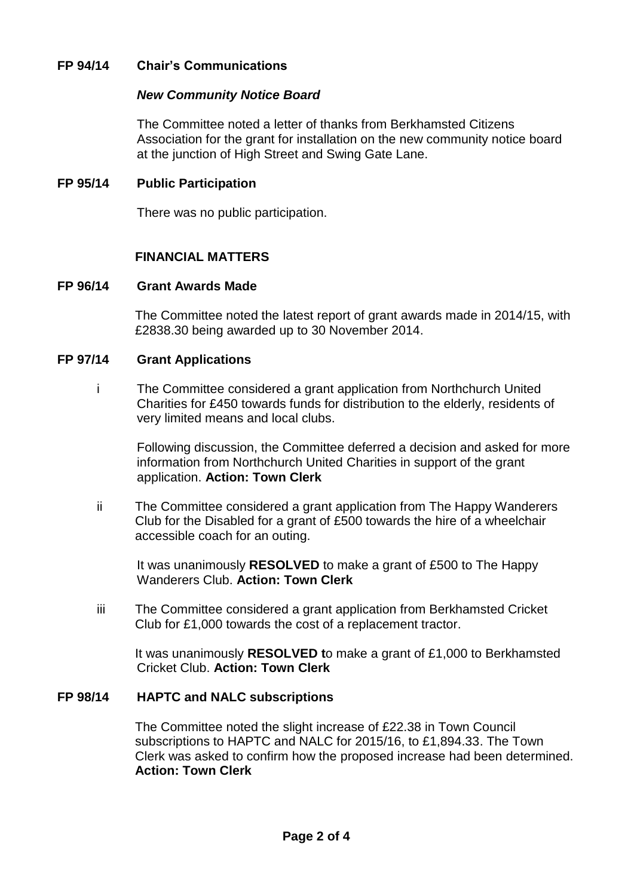## **FP 94/14 Chair's Communications**

#### *New Community Notice Board*

The Committee noted a letter of thanks from Berkhamsted Citizens Association for the grant for installation on the new community notice board at the junction of High Street and Swing Gate Lane.

### **FP 95/14 Public Participation**

There was no public participation.

## **FINANCIAL MATTERS**

## **FP 96/14 Grant Awards Made**

The Committee noted the latest report of grant awards made in 2014/15, with £2838.30 being awarded up to 30 November 2014.

#### **FP 97/14 Grant Applications**

i The Committee considered a grant application from Northchurch United Charities for £450 towards funds for distribution to the elderly, residents of very limited means and local clubs.

Following discussion, the Committee deferred a decision and asked for more information from Northchurch United Charities in support of the grant application. **Action: Town Clerk** 

ii The Committee considered a grant application from The Happy Wanderers Club for the Disabled for a grant of £500 towards the hire of a wheelchair accessible coach for an outing.

It was unanimously **RESOLVED** to make a grant of £500 to The Happy Wanderers Club. **Action: Town Clerk**

iii The Committee considered a grant application from Berkhamsted Cricket Club for £1,000 towards the cost of a replacement tractor.

It was unanimously **RESOLVED t**o make a grant of £1,000 to Berkhamsted Cricket Club. **Action: Town Clerk**

## **FP 98/14 HAPTC and NALC subscriptions**

The Committee noted the slight increase of £22.38 in Town Council subscriptions to HAPTC and NALC for 2015/16, to £1,894.33. The Town Clerk was asked to confirm how the proposed increase had been determined. **Action: Town Clerk**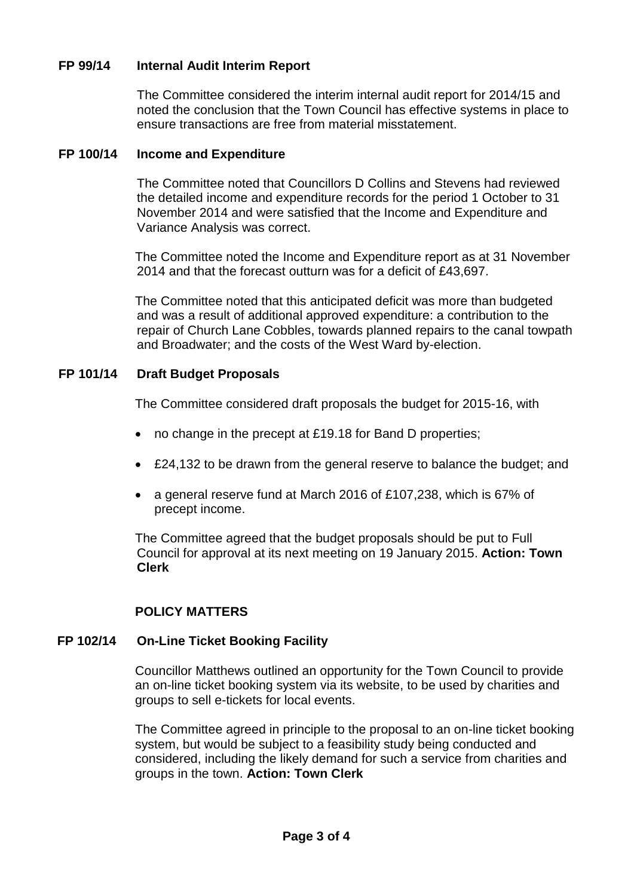## **FP 99/14 Internal Audit Interim Report**

The Committee considered the interim internal audit report for 2014/15 and noted the conclusion that the Town Council has effective systems in place to ensure transactions are free from material misstatement.

#### **FP 100/14 Income and Expenditure**

The Committee noted that Councillors D Collins and Stevens had reviewed the detailed income and expenditure records for the period 1 October to 31 November 2014 and were satisfied that the Income and Expenditure and Variance Analysis was correct.

The Committee noted the Income and Expenditure report as at 31 November 2014 and that the forecast outturn was for a deficit of £43,697.

The Committee noted that this anticipated deficit was more than budgeted and was a result of additional approved expenditure: a contribution to the repair of Church Lane Cobbles, towards planned repairs to the canal towpath and Broadwater; and the costs of the West Ward by-election.

## **FP 101/14 Draft Budget Proposals**

The Committee considered draft proposals the budget for 2015-16, with

- no change in the precept at £19.18 for Band D properties;
- £24,132 to be drawn from the general reserve to balance the budget; and
- a general reserve fund at March 2016 of £107,238, which is 67% of precept income.

The Committee agreed that the budget proposals should be put to Full Council for approval at its next meeting on 19 January 2015. **Action: Town Clerk**

## **POLICY MATTERS**

## **FP 102/14 On-Line Ticket Booking Facility**

Councillor Matthews outlined an opportunity for the Town Council to provide an on-line ticket booking system via its website, to be used by charities and groups to sell e-tickets for local events.

The Committee agreed in principle to the proposal to an on-line ticket booking system, but would be subject to a feasibility study being conducted and considered, including the likely demand for such a service from charities and groups in the town. **Action: Town Clerk**